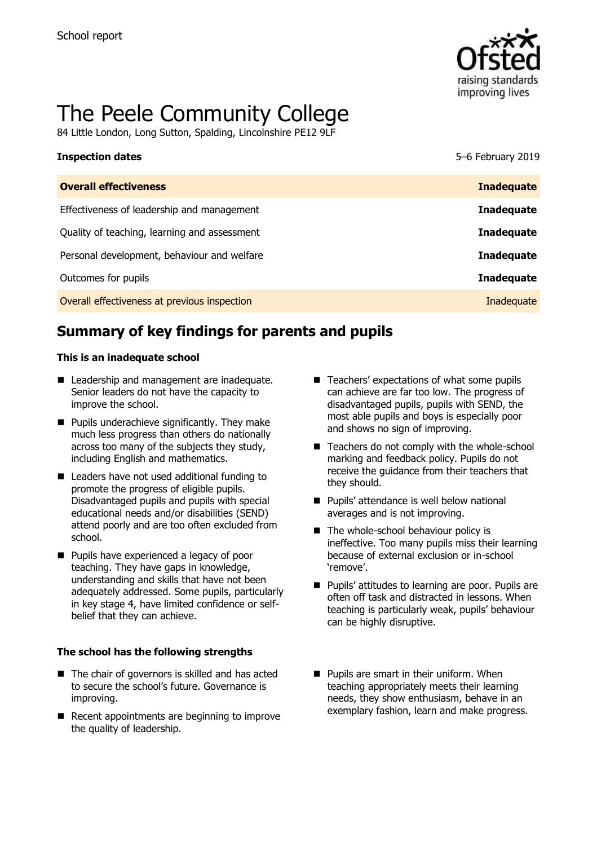

# The Peele Community College

84 Little London, Long Sutton, Spalding, Lincolnshire PE12 9LF

| <b>Inspection dates</b>                      | 5-6 February 2019 |
|----------------------------------------------|-------------------|
| <b>Overall effectiveness</b>                 | <b>Inadequate</b> |
| Effectiveness of leadership and management   | <b>Inadequate</b> |
| Quality of teaching, learning and assessment | <b>Inadequate</b> |
| Personal development, behaviour and welfare  | <b>Inadequate</b> |
| Outcomes for pupils                          | <b>Inadequate</b> |
| Overall effectiveness at previous inspection | Inadequate        |

# **Summary of key findings for parents and pupils**

### **This is an inadequate school**

- Leadership and management are inadequate. Senior leaders do not have the capacity to improve the school.
- **Pupils underachieve significantly. They make** much less progress than others do nationally across too many of the subjects they study, including English and mathematics.
- Leaders have not used additional funding to promote the progress of eligible pupils. Disadvantaged pupils and pupils with special educational needs and/or disabilities (SEND) attend poorly and are too often excluded from school.
- **Pupils have experienced a legacy of poor** teaching. They have gaps in knowledge, understanding and skills that have not been adequately addressed. Some pupils, particularly in key stage 4, have limited confidence or selfbelief that they can achieve.

### **The school has the following strengths**

- The chair of governors is skilled and has acted to secure the school's future. Governance is improving.
- $\blacksquare$  Recent appointments are beginning to improve the quality of leadership.
- Teachers' expectations of what some pupils can achieve are far too low. The progress of disadvantaged pupils, pupils with SEND, the most able pupils and boys is especially poor and shows no sign of improving.
- $\blacksquare$  Teachers do not comply with the whole-school marking and feedback policy. Pupils do not receive the guidance from their teachers that they should.
- **Pupils' attendance is well below national** averages and is not improving.
- $\blacksquare$  The whole-school behaviour policy is ineffective. Too many pupils miss their learning because of external exclusion or in-school 'remove'.
- **Pupils' attitudes to learning are poor. Pupils are** often off task and distracted in lessons. When teaching is particularly weak, pupils' behaviour can be highly disruptive.
- **Pupils are smart in their uniform. When** teaching appropriately meets their learning needs, they show enthusiasm, behave in an exemplary fashion, learn and make progress.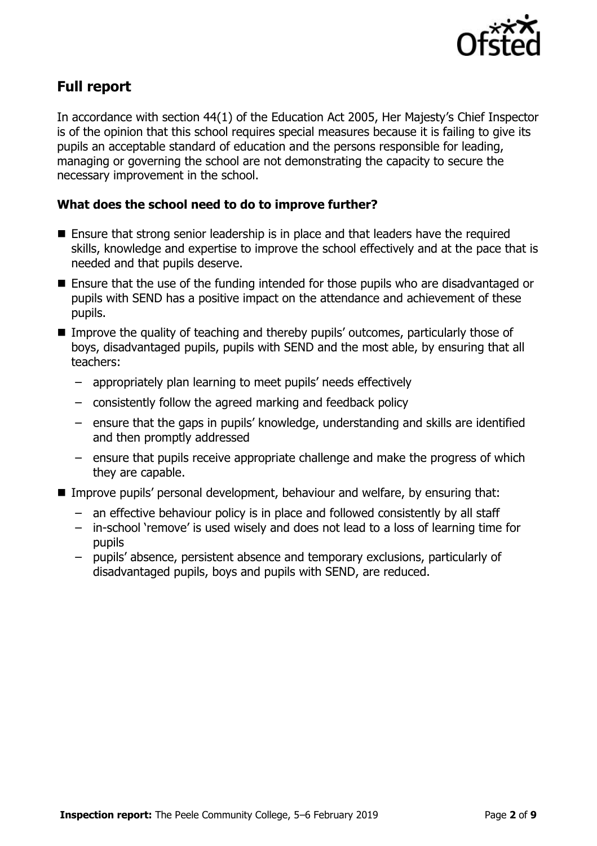

# **Full report**

In accordance with section 44(1) of the Education Act 2005, Her Majesty's Chief Inspector is of the opinion that this school requires special measures because it is failing to give its pupils an acceptable standard of education and the persons responsible for leading, managing or governing the school are not demonstrating the capacity to secure the necessary improvement in the school.

### **What does the school need to do to improve further?**

- Ensure that strong senior leadership is in place and that leaders have the required skills, knowledge and expertise to improve the school effectively and at the pace that is needed and that pupils deserve.
- Ensure that the use of the funding intended for those pupils who are disadvantaged or pupils with SEND has a positive impact on the attendance and achievement of these pupils.
- **IMPROVE the quality of teaching and thereby pupils' outcomes, particularly those of** boys, disadvantaged pupils, pupils with SEND and the most able, by ensuring that all teachers:
	- appropriately plan learning to meet pupils' needs effectively
	- consistently follow the agreed marking and feedback policy
	- ensure that the gaps in pupils' knowledge, understanding and skills are identified and then promptly addressed
	- ensure that pupils receive appropriate challenge and make the progress of which they are capable.
- Improve pupils' personal development, behaviour and welfare, by ensuring that:
	- an effective behaviour policy is in place and followed consistently by all staff
	- in-school 'remove' is used wisely and does not lead to a loss of learning time for pupils
	- pupils' absence, persistent absence and temporary exclusions, particularly of disadvantaged pupils, boys and pupils with SEND, are reduced.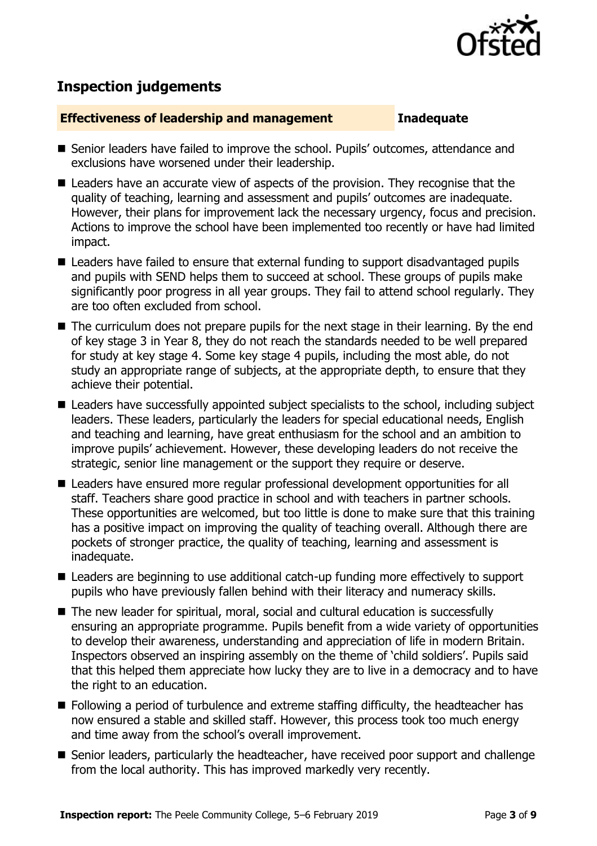

## **Inspection judgements**

### **Effectiveness of leadership and management Inadequate**

- Senior leaders have failed to improve the school. Pupils' outcomes, attendance and exclusions have worsened under their leadership.
- Leaders have an accurate view of aspects of the provision. They recognise that the quality of teaching, learning and assessment and pupils' outcomes are inadequate. However, their plans for improvement lack the necessary urgency, focus and precision. Actions to improve the school have been implemented too recently or have had limited impact.
- Leaders have failed to ensure that external funding to support disadvantaged pupils and pupils with SEND helps them to succeed at school. These groups of pupils make significantly poor progress in all year groups. They fail to attend school regularly. They are too often excluded from school.
- The curriculum does not prepare pupils for the next stage in their learning. By the end of key stage 3 in Year 8, they do not reach the standards needed to be well prepared for study at key stage 4. Some key stage 4 pupils, including the most able, do not study an appropriate range of subjects, at the appropriate depth, to ensure that they achieve their potential.
- Leaders have successfully appointed subject specialists to the school, including subject leaders. These leaders, particularly the leaders for special educational needs, English and teaching and learning, have great enthusiasm for the school and an ambition to improve pupils' achievement. However, these developing leaders do not receive the strategic, senior line management or the support they require or deserve.
- Leaders have ensured more regular professional development opportunities for all staff. Teachers share good practice in school and with teachers in partner schools. These opportunities are welcomed, but too little is done to make sure that this training has a positive impact on improving the quality of teaching overall. Although there are pockets of stronger practice, the quality of teaching, learning and assessment is inadequate.
- Leaders are beginning to use additional catch-up funding more effectively to support pupils who have previously fallen behind with their literacy and numeracy skills.
- The new leader for spiritual, moral, social and cultural education is successfully ensuring an appropriate programme. Pupils benefit from a wide variety of opportunities to develop their awareness, understanding and appreciation of life in modern Britain. Inspectors observed an inspiring assembly on the theme of 'child soldiers'. Pupils said that this helped them appreciate how lucky they are to live in a democracy and to have the right to an education.
- Following a period of turbulence and extreme staffing difficulty, the headteacher has now ensured a stable and skilled staff. However, this process took too much energy and time away from the school's overall improvement.
- Senior leaders, particularly the headteacher, have received poor support and challenge from the local authority. This has improved markedly very recently.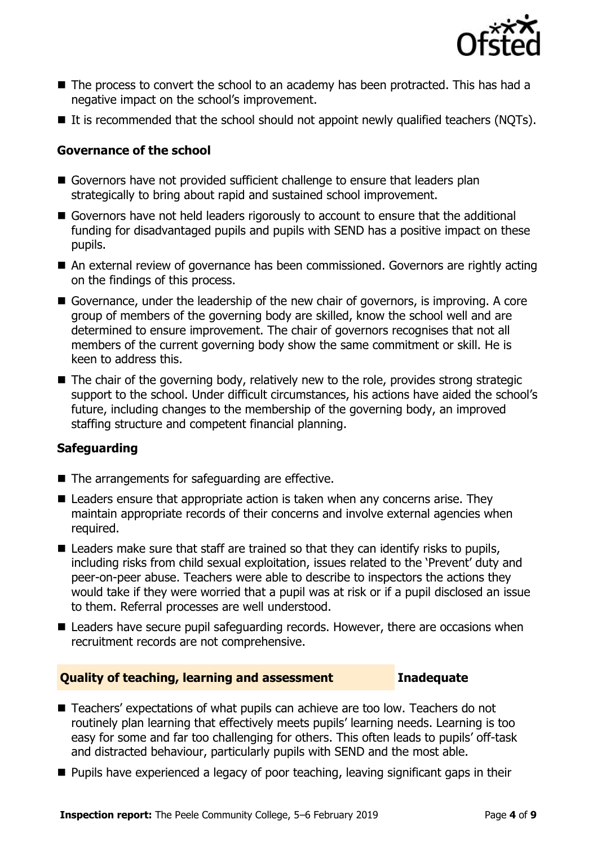

- The process to convert the school to an academy has been protracted. This has had a negative impact on the school's improvement.
- $\blacksquare$  It is recommended that the school should not appoint newly qualified teachers (NQTs).

### **Governance of the school**

- Governors have not provided sufficient challenge to ensure that leaders plan strategically to bring about rapid and sustained school improvement.
- Governors have not held leaders rigorously to account to ensure that the additional funding for disadvantaged pupils and pupils with SEND has a positive impact on these pupils.
- An external review of governance has been commissioned. Governors are rightly acting on the findings of this process.
- Governance, under the leadership of the new chair of governors, is improving. A core group of members of the governing body are skilled, know the school well and are determined to ensure improvement. The chair of governors recognises that not all members of the current governing body show the same commitment or skill. He is keen to address this.
- The chair of the governing body, relatively new to the role, provides strong strategic support to the school. Under difficult circumstances, his actions have aided the school's future, including changes to the membership of the governing body, an improved staffing structure and competent financial planning.

### **Safeguarding**

- The arrangements for safeguarding are effective.
- Leaders ensure that appropriate action is taken when any concerns arise. They maintain appropriate records of their concerns and involve external agencies when required.
- Leaders make sure that staff are trained so that they can identify risks to pupils, including risks from child sexual exploitation, issues related to the 'Prevent' duty and peer-on-peer abuse. Teachers were able to describe to inspectors the actions they would take if they were worried that a pupil was at risk or if a pupil disclosed an issue to them. Referral processes are well understood.
- Leaders have secure pupil safeguarding records. However, there are occasions when recruitment records are not comprehensive.

### **Quality of teaching, learning and assessment Inadequate**

- Teachers' expectations of what pupils can achieve are too low. Teachers do not routinely plan learning that effectively meets pupils' learning needs. Learning is too easy for some and far too challenging for others. This often leads to pupils' off-task and distracted behaviour, particularly pupils with SEND and the most able.
- **Pupils have experienced a legacy of poor teaching, leaving significant gaps in their**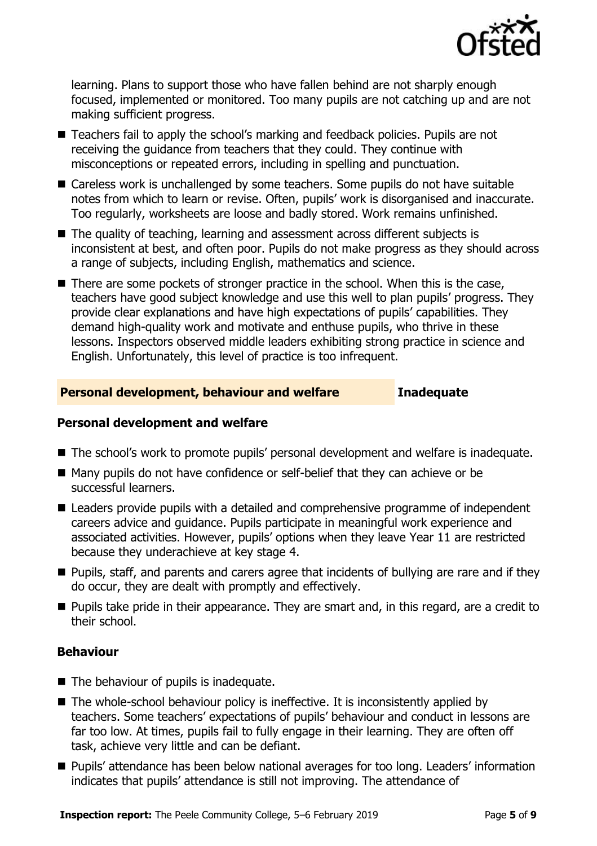

learning. Plans to support those who have fallen behind are not sharply enough focused, implemented or monitored. Too many pupils are not catching up and are not making sufficient progress.

- Teachers fail to apply the school's marking and feedback policies. Pupils are not receiving the guidance from teachers that they could. They continue with misconceptions or repeated errors, including in spelling and punctuation.
- Careless work is unchallenged by some teachers. Some pupils do not have suitable notes from which to learn or revise. Often, pupils' work is disorganised and inaccurate. Too regularly, worksheets are loose and badly stored. Work remains unfinished.
- The quality of teaching, learning and assessment across different subjects is inconsistent at best, and often poor. Pupils do not make progress as they should across a range of subjects, including English, mathematics and science.
- $\blacksquare$  There are some pockets of stronger practice in the school. When this is the case, teachers have good subject knowledge and use this well to plan pupils' progress. They provide clear explanations and have high expectations of pupils' capabilities. They demand high-quality work and motivate and enthuse pupils, who thrive in these lessons. Inspectors observed middle leaders exhibiting strong practice in science and English. Unfortunately, this level of practice is too infrequent.

### **Personal development, behaviour and welfare Inadequate**

### **Personal development and welfare**

- The school's work to promote pupils' personal development and welfare is inadequate.
- Many pupils do not have confidence or self-belief that they can achieve or be successful learners.
- Leaders provide pupils with a detailed and comprehensive programme of independent careers advice and guidance. Pupils participate in meaningful work experience and associated activities. However, pupils' options when they leave Year 11 are restricted because they underachieve at key stage 4.
- Pupils, staff, and parents and carers agree that incidents of bullying are rare and if they do occur, they are dealt with promptly and effectively.
- **Pupils take pride in their appearance. They are smart and, in this regard, are a credit to** their school.

### **Behaviour**

- The behaviour of pupils is inadequate.
- The whole-school behaviour policy is ineffective. It is inconsistently applied by teachers. Some teachers' expectations of pupils' behaviour and conduct in lessons are far too low. At times, pupils fail to fully engage in their learning. They are often off task, achieve very little and can be defiant.
- Pupils' attendance has been below national averages for too long. Leaders' information indicates that pupils' attendance is still not improving. The attendance of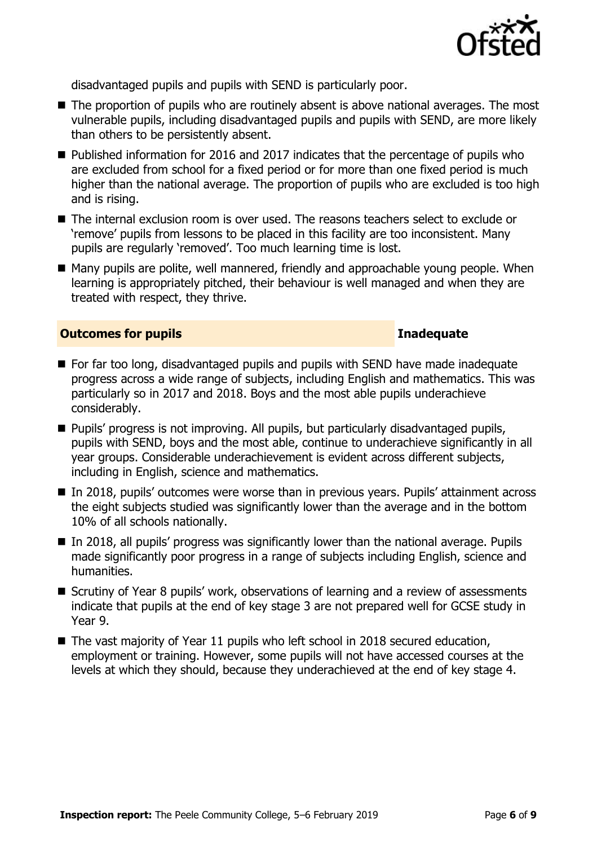

disadvantaged pupils and pupils with SEND is particularly poor.

- The proportion of pupils who are routinely absent is above national averages. The most vulnerable pupils, including disadvantaged pupils and pupils with SEND, are more likely than others to be persistently absent.
- Published information for 2016 and 2017 indicates that the percentage of pupils who are excluded from school for a fixed period or for more than one fixed period is much higher than the national average. The proportion of pupils who are excluded is too high and is rising.
- The internal exclusion room is over used. The reasons teachers select to exclude or 'remove' pupils from lessons to be placed in this facility are too inconsistent. Many pupils are regularly 'removed'. Too much learning time is lost.
- Many pupils are polite, well mannered, friendly and approachable young people. When learning is appropriately pitched, their behaviour is well managed and when they are treated with respect, they thrive.

### **Outcomes for pupils Inadequate**

- For far too long, disadvantaged pupils and pupils with SEND have made inadequate progress across a wide range of subjects, including English and mathematics. This was particularly so in 2017 and 2018. Boys and the most able pupils underachieve considerably.
- **Pupils' progress is not improving. All pupils, but particularly disadvantaged pupils,** pupils with SEND, boys and the most able, continue to underachieve significantly in all year groups. Considerable underachievement is evident across different subjects, including in English, science and mathematics.
- In 2018, pupils' outcomes were worse than in previous years. Pupils' attainment across the eight subjects studied was significantly lower than the average and in the bottom 10% of all schools nationally.
- In 2018, all pupils' progress was significantly lower than the national average. Pupils made significantly poor progress in a range of subjects including English, science and humanities.
- Scrutiny of Year 8 pupils' work, observations of learning and a review of assessments indicate that pupils at the end of key stage 3 are not prepared well for GCSE study in Year 9.
- The vast majority of Year 11 pupils who left school in 2018 secured education, employment or training. However, some pupils will not have accessed courses at the levels at which they should, because they underachieved at the end of key stage 4.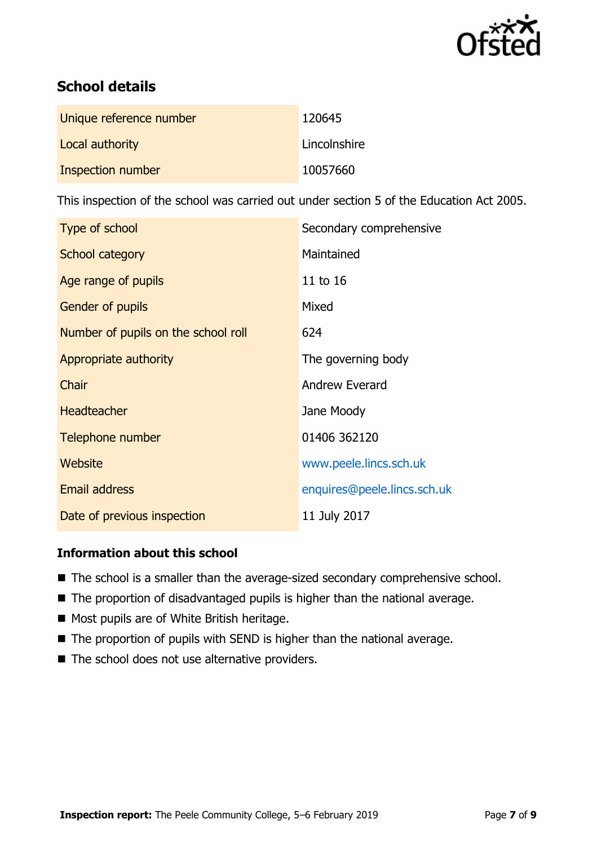

# **School details**

| Unique reference number | 120645       |
|-------------------------|--------------|
| Local authority         | Lincolnshire |
| Inspection number       | 10057660     |

This inspection of the school was carried out under section 5 of the Education Act 2005.

| Type of school                      | Secondary comprehensive     |
|-------------------------------------|-----------------------------|
| School category                     | Maintained                  |
| Age range of pupils                 | 11 to 16                    |
| <b>Gender of pupils</b>             | Mixed                       |
| Number of pupils on the school roll | 624                         |
| Appropriate authority               | The governing body          |
| Chair                               | Andrew Everard              |
| <b>Headteacher</b>                  | Jane Moody                  |
| Telephone number                    | 01406 362120                |
| Website                             | www.peele.lincs.sch.uk      |
| <b>Email address</b>                | enquires@peele.lincs.sch.uk |
| Date of previous inspection         | 11 July 2017                |

### **Information about this school**

- The school is a smaller than the average-sized secondary comprehensive school.
- The proportion of disadvantaged pupils is higher than the national average.
- Most pupils are of White British heritage.
- The proportion of pupils with SEND is higher than the national average.
- The school does not use alternative providers.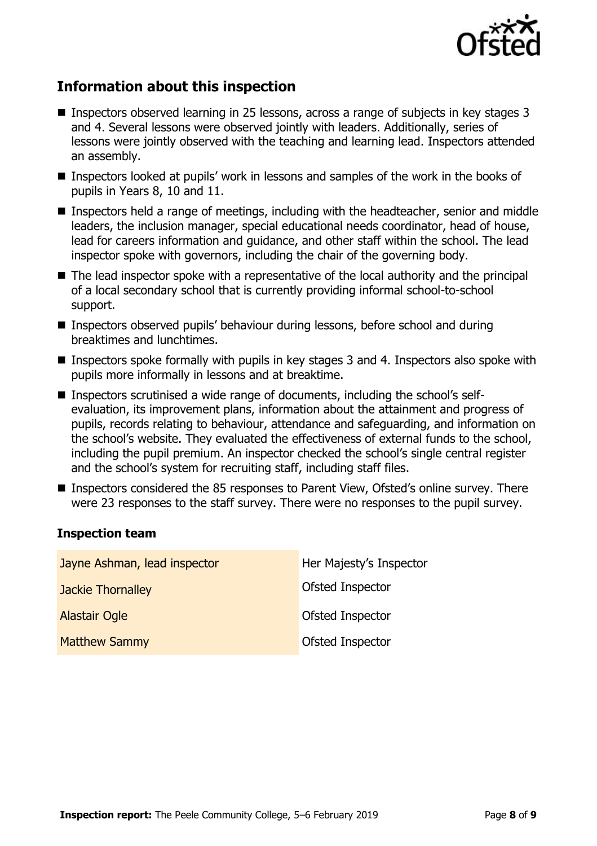

# **Information about this inspection**

- Inspectors observed learning in 25 lessons, across a range of subjects in key stages 3 and 4. Several lessons were observed jointly with leaders. Additionally, series of lessons were jointly observed with the teaching and learning lead. Inspectors attended an assembly.
- Inspectors looked at pupils' work in lessons and samples of the work in the books of pupils in Years 8, 10 and 11.
- Inspectors held a range of meetings, including with the headteacher, senior and middle leaders, the inclusion manager, special educational needs coordinator, head of house, lead for careers information and guidance, and other staff within the school. The lead inspector spoke with governors, including the chair of the governing body.
- The lead inspector spoke with a representative of the local authority and the principal of a local secondary school that is currently providing informal school-to-school support.
- Inspectors observed pupils' behaviour during lessons, before school and during breaktimes and lunchtimes.
- Inspectors spoke formally with pupils in key stages 3 and 4. Inspectors also spoke with pupils more informally in lessons and at breaktime.
- Inspectors scrutinised a wide range of documents, including the school's selfevaluation, its improvement plans, information about the attainment and progress of pupils, records relating to behaviour, attendance and safeguarding, and information on the school's website. They evaluated the effectiveness of external funds to the school, including the pupil premium. An inspector checked the school's single central register and the school's system for recruiting staff, including staff files.
- Inspectors considered the 85 responses to Parent View, Ofsted's online survey. There were 23 responses to the staff survey. There were no responses to the pupil survey.

### **Inspection team**

| Jayne Ashman, lead inspector | Her Majesty's Inspector |
|------------------------------|-------------------------|
| <b>Jackie Thornalley</b>     | Ofsted Inspector        |
| <b>Alastair Ogle</b>         | Ofsted Inspector        |
| <b>Matthew Sammy</b>         | Ofsted Inspector        |